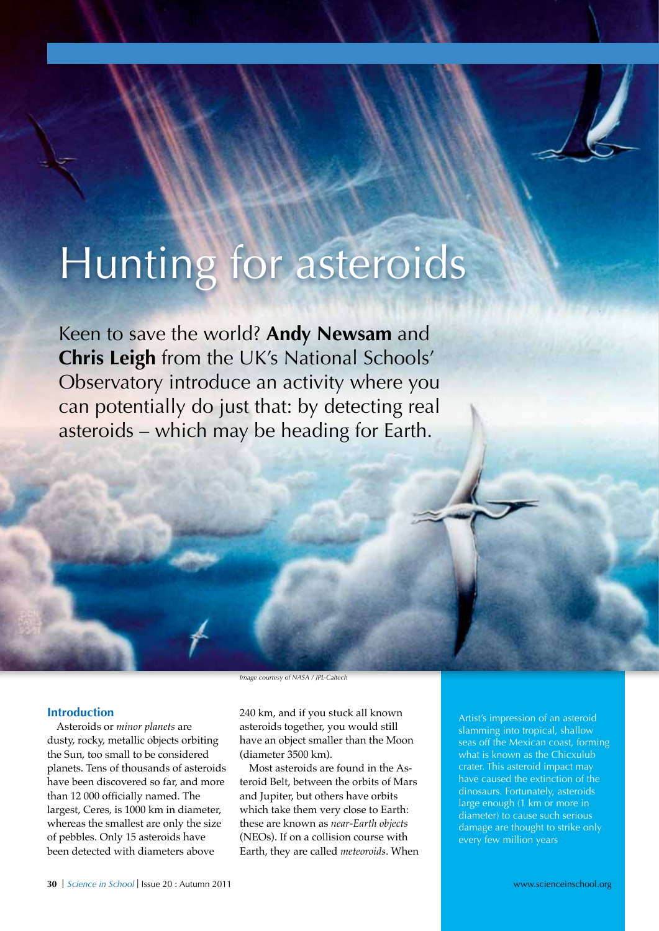# Hunting for asteroids

Keen to save the world? **Andy Newsam** and **Chris Leigh** from the UK's National Schools' Observatory introduce an activity where you can potentially do just that: by detecting real asteroids – which may be heading for Earth.

#### **Introduction**

Asteroids or *minor planets* are dusty, rocky, metallic objects orbiting the Sun, too small to be considered planets. Tens of thousands of asteroids have been discovered so far, and more than 12 000 officially named. The largest, Ceres, is 1000 km in diameter, whereas the smallest are only the size of pebbles. Only 15 asteroids have been detected with diameters above

*Image courtesy of NASA / JPL-Caltech*

240 km, and if you stuck all known asteroids together, you would still have an object smaller than the Moon (diameter 3500 km).

Most asteroids are found in the Asteroid Belt, between the orbits of Mars and Jupiter, but others have orbits which take them very close to Earth: these are known as *near-Earth objects* (NEOs). If on a collision course with Earth, they are called *meteoroids*. When

Artist's impression of an asteroid slamming into tropical, shallow seas off the Mexican coast, forming what is known as the Chicxulub crater. This asteroid impact may have caused the extinction of the dinosaurs. Fortunately, asteroids large enough (1 km or more in diameter) to cause such serious damage are thought to strike only every few million years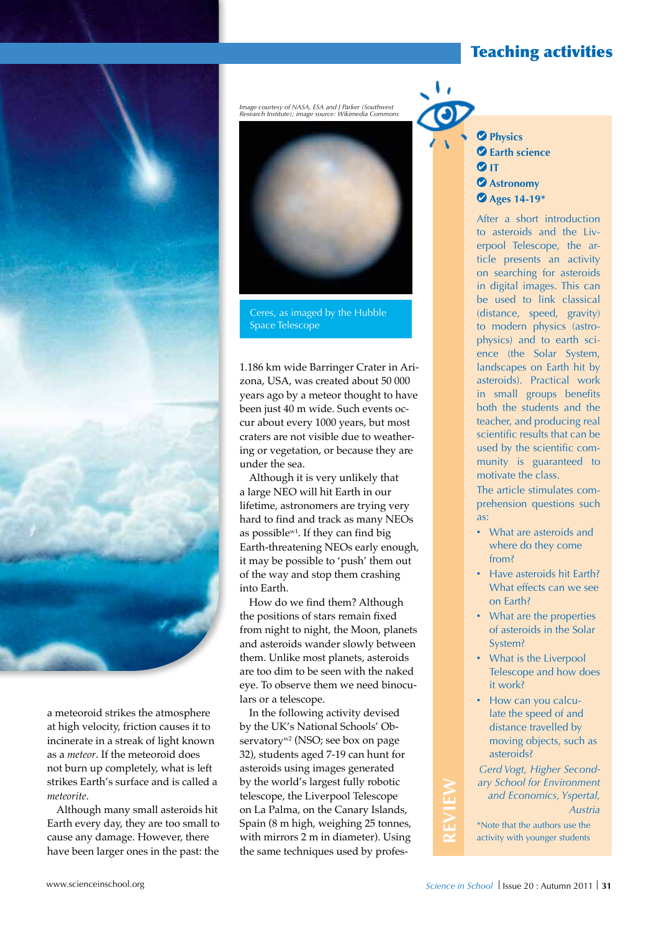# Teaching activities

a meteoroid strikes the atmosphere at high velocity, friction causes it to incinerate in a streak of light known as a *meteor*. If the meteoroid does not burn up completely, what is left strikes Earth's surface and is called a *meteorite*.

Although many small asteroids hit Earth every day, they are too small to cause any damage. However, there have been larger ones in the past: the

*Image courtesy of NASA, ESA and J Parker (Southwest Research Institute); image source: Wikimedia Commons*



Ceres, as imaged by the Hubble Space Telescope

1.186 km wide Barringer Crater in Arizona, USA, was created about 50 000 years ago by a meteor thought to have been just 40 m wide. Such events occur about every 1000 years, but most craters are not visible due to weathering or vegetation, or because they are under the sea.

Although it is very unlikely that a large NEO will hit Earth in our lifetime, astronomers are trying very hard to find and track as many NEOs as possiblew1. If they can find big Earth-threatening NEOs early enough, it may be possible to 'push' them out of the way and stop them crashing into Earth.

How do we find them? Although the positions of stars remain fixed from night to night, the Moon, planets and asteroids wander slowly between them. Unlike most planets, asteroids are too dim to be seen with the naked eye. To observe them we need binoculars or a telescope.

In the following activity devised by the UK's National Schools' Observatory<sup>w2</sup> (NSO; see box on page 32), students aged 7-19 can hunt for asteroids using images generated by the world's largest fully robotic telescope, the Liverpool Telescope on La Palma, on the Canary Islands, Spain (8 m high, weighing 25 tonnes, with mirrors 2 m in diameter). Using the same techniques used by profes **Physics Earth science** *<u>DIT</u>* **Astronomy Ages 14-19\***

After a short introduction to asteroids and the Liverpool Telescope, the article presents an activity on searching for asteroids in digital images. This can be used to link classical (distance, speed, gravity) to modern physics (astrophysics) and to earth science (the Solar System, landscapes on Earth hit by asteroids). Practical work in small groups benefits both the students and the teacher, and producing real scientific results that can be used by the scientific community is guaranteed to motivate the class.

The article stimulates comprehension questions such as:

- · What are asteroids and where do they come from?
- · Have asteroids hit Earth? What effects can we see on Earth?
- · What are the properties of asteroids in the Solar System?
- · What is the Liverpool Telescope and how does it work?
- · How can you calculate the speed of and distance travelled by moving objects, such as asteroids?

*Gerd Vogt, Higher Secondary School for Environment and Economics, Yspertal, Austria*

\*Note that the authors use the activity with younger students

**REVIEW**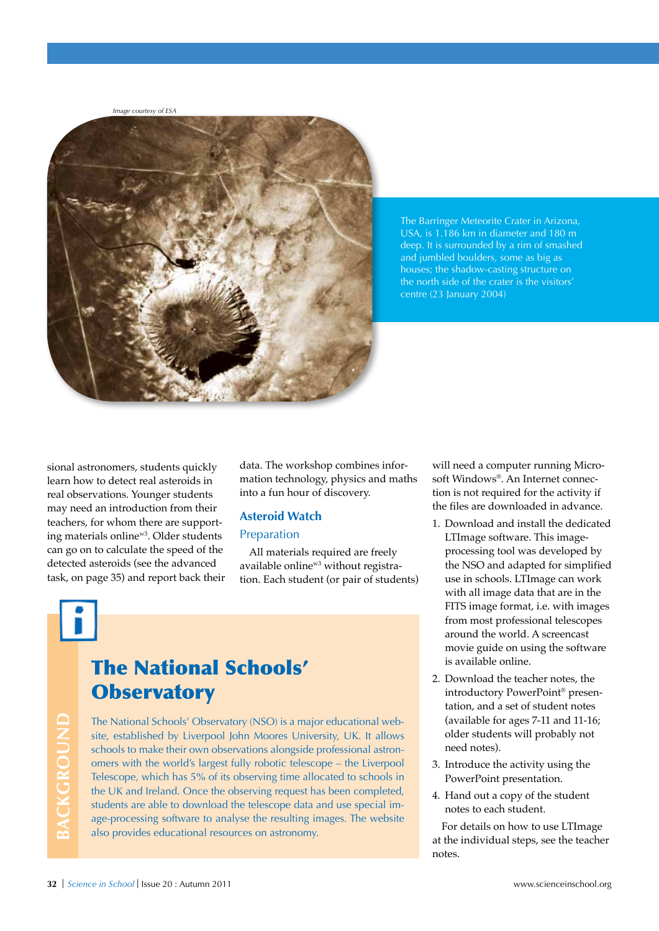*Image courtesy of ESA*



The Barringer Meteorite Crater in Arizona, USA, is 1.186 km in diameter and 180 m deep. It is surrounded by a rim of smashed and jumbled boulders, some as big as houses; the shadow-casting structure on the north side of the crater is the visitors' centre (23 January 2004)

sional astronomers, students quickly learn how to detect real asteroids in real observations. Younger students may need an introduction from their teachers, for whom there are supporting materials onlinew3. Older students can go on to calculate the speed of the detected asteroids (see the advanced task, on page 35) and report back their data. The workshop combines information technology, physics and maths into a fun hour of discovery.

#### **Asteroid Watch** Preparation

All materials required are freely available online<sup>w3</sup> without registration. Each student (or pair of students)

**BACKGROUND**

BACKGROUND

# The National Schools' **Observatory**

The National Schools' Observatory (NSO) is a major educational website, established by Liverpool John Moores University, UK. It allows schools to make their own observations alongside professional astronomers with the world's largest fully robotic telescope – the Liverpool Telescope, which has 5% of its observing time allocated to schools in the UK and Ireland. Once the observing request has been completed, students are able to download the telescope data and use special image-processing software to analyse the resulting images. The website also provides educational resources on astronomy.

will need a computer running Microsoft Windows®. An Internet connection is not required for the activity if the files are downloaded in advance.

- 1. Download and install the dedicated LTImage software. This imageprocessing tool was developed by the NSO and adapted for simplified use in schools. LTImage can work with all image data that are in the FITS image format, i.e. with images from most professional telescopes around the world. A screencast movie guide on using the software is available online.
- 2. Download the teacher notes, the introductory PowerPoint® presentation, and a set of student notes (available for ages 7-11 and 11-16; older students will probably not need notes).
- 3. Introduce the activity using the PowerPoint presentation.
- 4. Hand out a copy of the student notes to each student.

For details on how to use LTImage at the individual steps, see the teacher notes.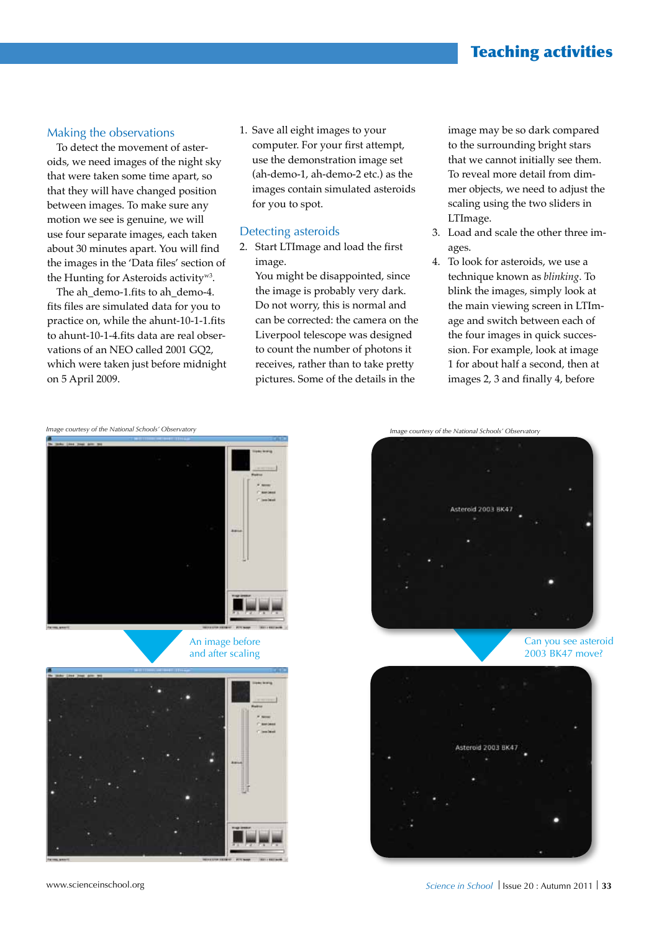# Teaching activities

#### Making the observations

To detect the movement of asteroids, we need images of the night sky that were taken some time apart, so that they will have changed position between images. To make sure any motion we see is genuine, we will use four separate images, each taken about 30 minutes apart. You will find the images in the 'Data files' section of the Hunting for Asteroids activityw3.

The ah\_demo-1.fits to ah\_demo-4. fits files are simulated data for you to practice on, while the ahunt-10-1-1.fits to ahunt-10-1-4.fits data are real observations of an NEO called 2001 GQ2, which were taken just before midnight on 5 April 2009.

1. Save all eight images to your computer. For your first attempt, use the demonstration image set (ah-demo-1, ah-demo-2 etc.) as the images contain simulated asteroids for you to spot.

#### Detecting asteroids

2. Start LTImage and load the first image.

You might be disappointed, since the image is probably very dark. Do not worry, this is normal and can be corrected: the camera on the Liverpool telescope was designed to count the number of photons it receives, rather than to take pretty pictures. Some of the details in the

image may be so dark compared to the surrounding bright stars that we cannot initially see them. To reveal more detail from dimmer objects, we need to adjust the scaling using the two sliders in LTImage.

- 3. Load and scale the other three images.
- 4. To look for asteroids, we use a technique known as *blinking*. To blink the images, simply look at the main viewing screen in LTImage and switch between each of the four images in quick succession. For example, look at image 1 for about half a second, then at images 2, 3 and finally 4, before

*Image courtesy of the National Schools' Observatory Image courtesy of the National Schools' Observatory*











Can you see asteroid 2003 BK47 move?

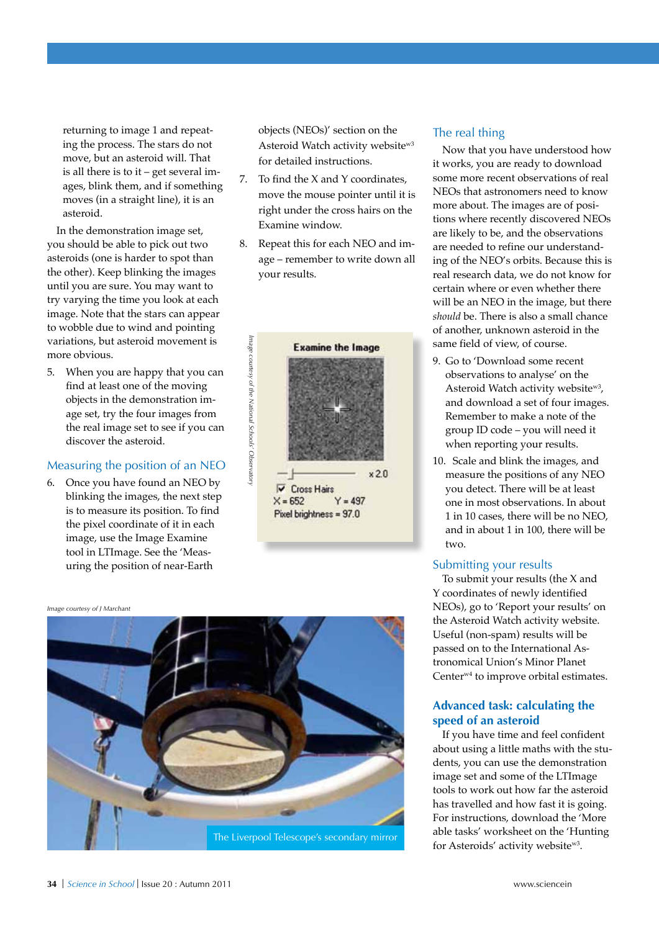returning to image 1 and repeating the process. The stars do not move, but an asteroid will. That is all there is to it – get several images, blink them, and if something moves (in a straight line), it is an asteroid.

In the demonstration image set, you should be able to pick out two asteroids (one is harder to spot than the other). Keep blinking the images until you are sure. You may want to try varying the time you look at each image. Note that the stars can appear to wobble due to wind and pointing variations, but asteroid movement is more obvious.

5. When you are happy that you can find at least one of the moving objects in the demonstration image set, try the four images from the real image set to see if you can discover the asteroid.

#### Measuring the position of an NEO

6. Once you have found an NEO by blinking the images, the next step is to measure its position. To find the pixel coordinate of it in each image, use the Image Examine tool in LTImage. See the 'Measuring the position of near-Earth

objects (NEOs)' section on the Asteroid Watch activity websitew3 for detailed instructions.

- 7. To find the X and Y coordinates, move the mouse pointer until it is right under the cross hairs on the Examine window.
- 8. Repeat this for each NEO and image – remember to write down all your results.



*Image courtesy of J Marchant*



#### The real thing

Now that you have understood how it works, you are ready to download some more recent observations of real NEOs that astronomers need to know more about. The images are of positions where recently discovered NEOs are likely to be, and the observations are needed to refine our understanding of the NEO's orbits. Because this is real research data, we do not know for certain where or even whether there will be an NEO in the image, but there *should* be. There is also a small chance of another, unknown asteroid in the same field of view, of course.

- 9. Go to 'Download some recent observations to analyse' on the Asteroid Watch activity websitew3, and download a set of four images. Remember to make a note of the group ID code – you will need it when reporting your results.
- 10. Scale and blink the images, and measure the positions of any NEO you detect. There will be at least one in most observations. In about 1 in 10 cases, there will be no NEO, and in about 1 in 100, there will be two.

#### Submitting your results

To submit your results (the X and Y coordinates of newly identified NEOs), go to 'Report your results' on the Asteroid Watch activity website. Useful (non-spam) results will be passed on to the International Astronomical Union's Minor Planet Centerw4 to improve orbital estimates.

#### **Advanced task: calculating the speed of an asteroid**

If you have time and feel confident about using a little maths with the students, you can use the demonstration image set and some of the LTImage tools to work out how far the asteroid has travelled and how fast it is going. For instructions, download the 'More able tasks' worksheet on the 'Hunting for Asteroids' activity websitew3.